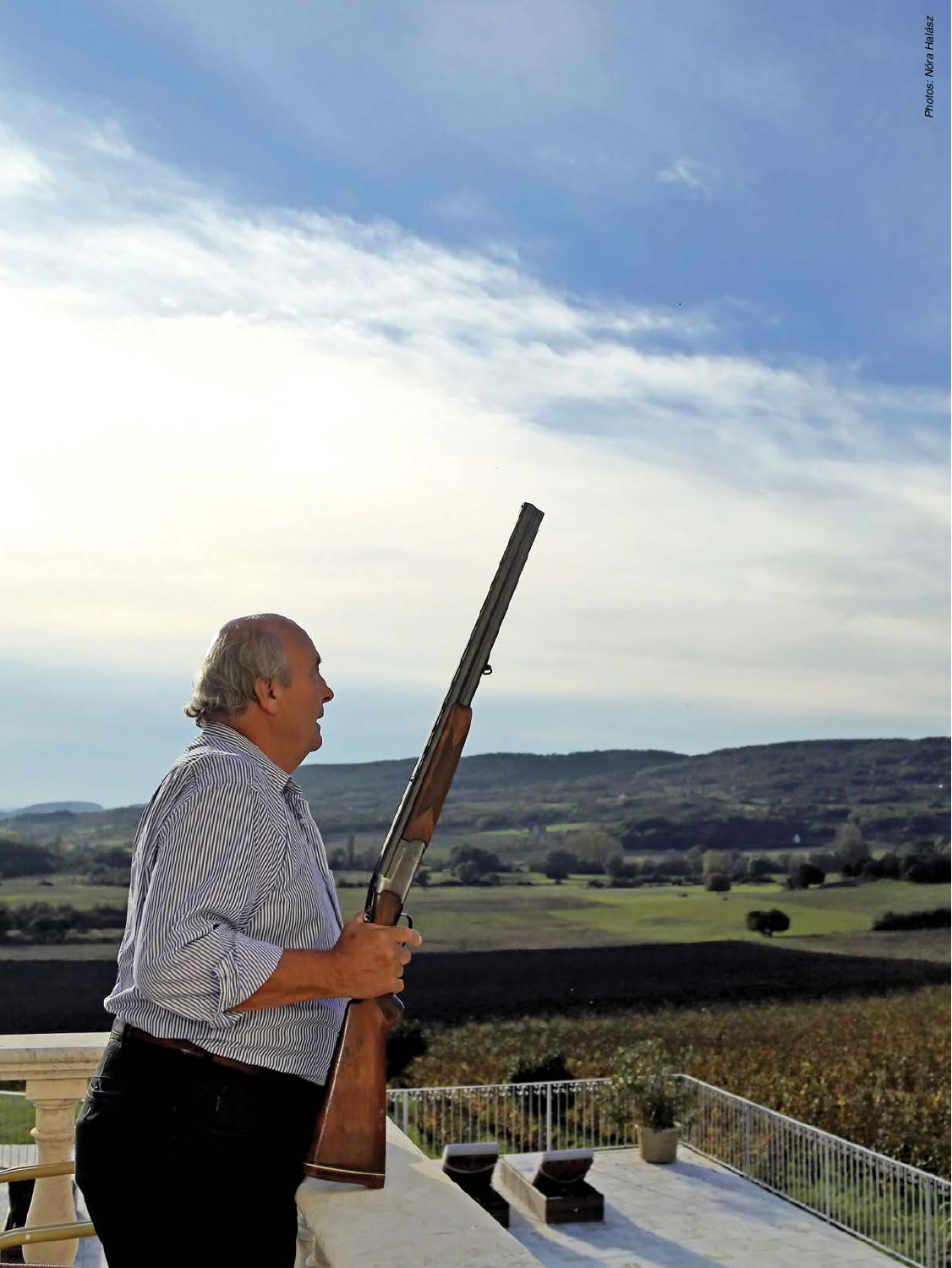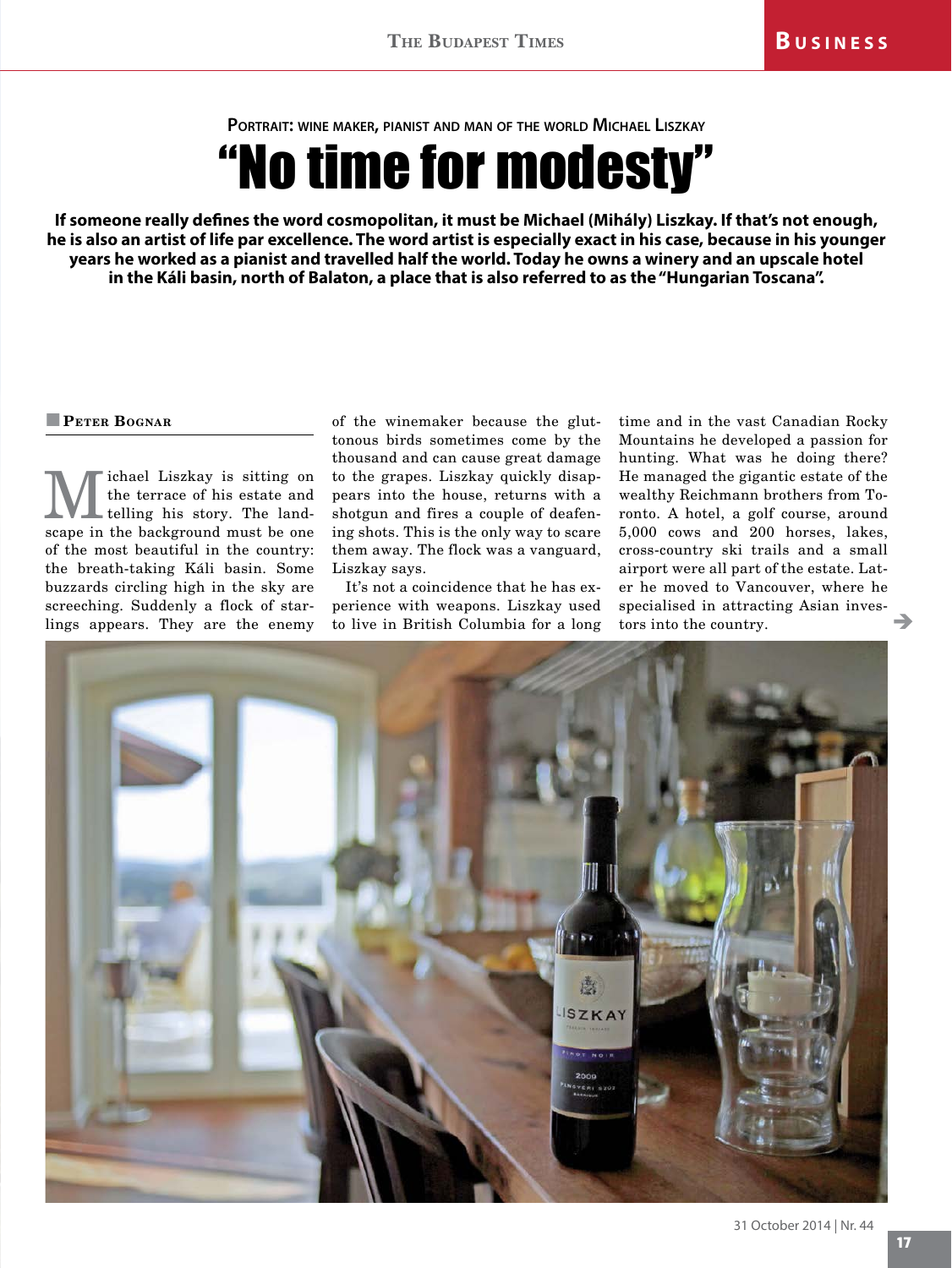**Portrait: wine maker, pianist and man of the world Michael Liszkay**

"No time for modesty"

**If someone really defines the word cosmopolitan, it must be Michael (Mihály) Liszkay. If that's not enough, he is also an artist of life par excellence. The word artist is especially exact in his case, because in his younger years he worked as a pianist and travelled half the world. Today he owns a winery and an upscale hotel in the Káli basin, north of Balaton, a place that is also referred to as the "Hungarian Toscana".** 

## **Peter Bognar**

**M** ichael Liszkay is sitting on the terrace of his estate and telling his story. The landthe terrace of his estate and scape in the background must be one of the most beautiful in the country: the breath-taking Káli basin. Some buzzards circling high in the sky are screeching. Suddenly a flock of starlings appears. They are the enemy

of the winemaker because the gluttonous birds sometimes come by the thousand and can cause great damage to the grapes. Liszkay quickly disappears into the house, returns with a shotgun and fires a couple of deafening shots. This is the only way to scare them away. The flock was a vanguard, Liszkay says.

It's not a coincidence that he has experience with weapons. Liszkay used to live in British Columbia for a long time and in the vast Canadian Rocky Mountains he developed a passion for hunting. What was he doing there? He managed the gigantic estate of the wealthy Reichmann brothers from Toronto. A hotel, a golf course, around 5,000 cows and 200 horses, lakes, cross-country ski trails and a small airport were all part of the estate. Later he moved to Vancouver, where he specialised in attracting Asian investors into the country. è

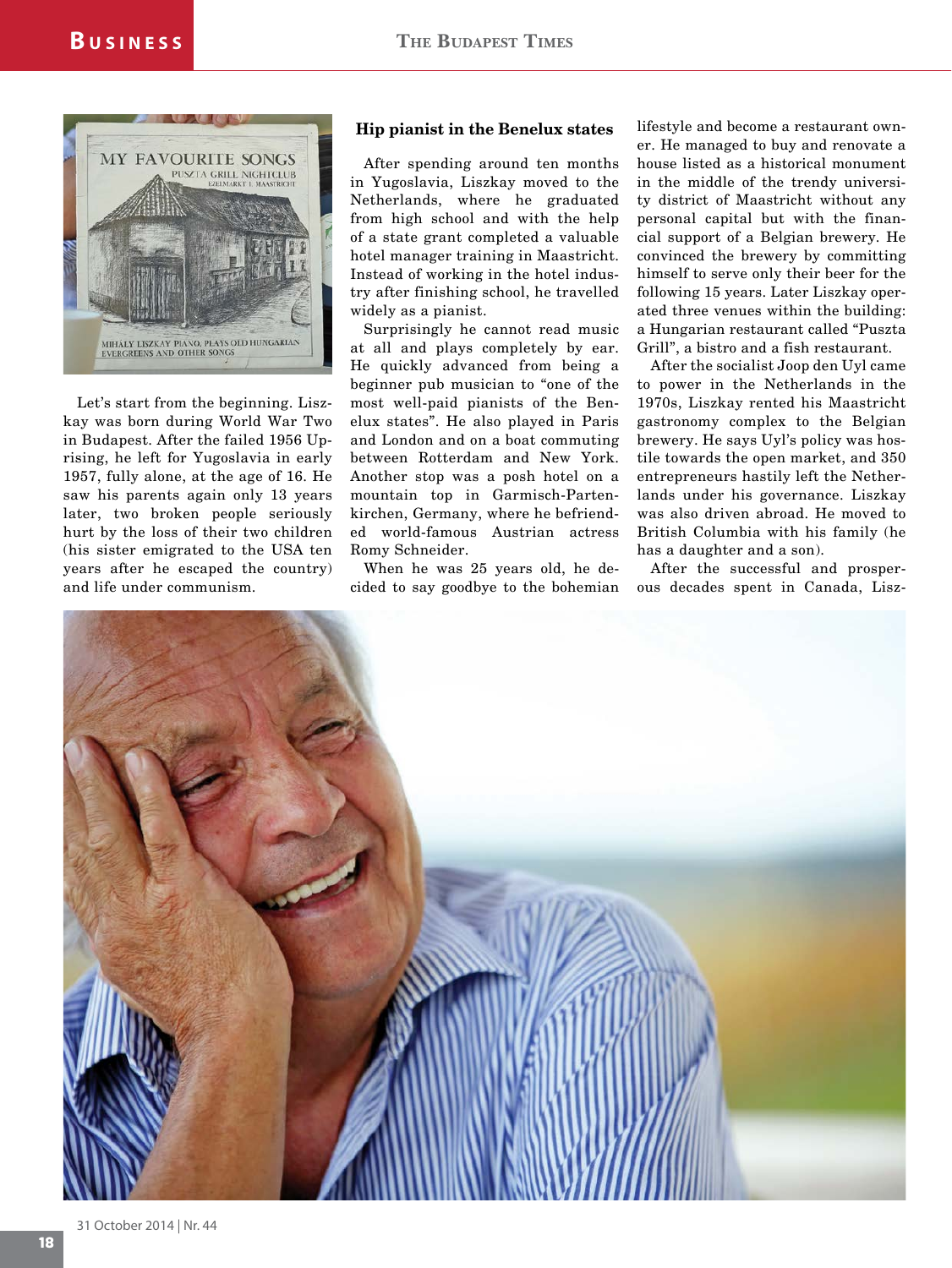

Let's start from the beginning. Liszkay was born during World War Two in Budapest. After the failed 1956 Uprising, he left for Yugoslavia in early 1957, fully alone, at the age of 16. He saw his parents again only 13 years later, two broken people seriously hurt by the loss of their two children (his sister emigrated to the USA ten years after he escaped the country) and life under communism.

## **Hip pianist in the Benelux states**

After spending around ten months in Yugoslavia, Liszkay moved to the Netherlands, where he graduated from high school and with the help of a state grant completed a valuable hotel manager training in Maastricht. Instead of working in the hotel industry after finishing school, he travelled widely as a pianist.

Surprisingly he cannot read music at all and plays completely by ear. He quickly advanced from being a beginner pub musician to "one of the most well-paid pianists of the Benelux states". He also played in Paris and London and on a boat commuting between Rotterdam and New York. Another stop was a posh hotel on a mountain top in Garmisch-Partenkirchen, Germany, where he befriended world-famous Austrian actress Romy Schneider.

When he was 25 years old, he decided to say goodbye to the bohemian

lifestyle and become a restaurant owner. He managed to buy and renovate a house listed as a historical monument in the middle of the trendy university district of Maastricht without any personal capital but with the financial support of a Belgian brewery. He convinced the brewery by committing himself to serve only their beer for the following 15 years. Later Liszkay operated three venues within the building: a Hungarian restaurant called "Puszta Grill", a bistro and a fish restaurant.

After the socialist Joop den Uyl came to power in the Netherlands in the 1970s, Liszkay rented his Maastricht gastronomy complex to the Belgian brewery. He says Uyl's policy was hostile towards the open market, and 350 entrepreneurs hastily left the Netherlands under his governance. Liszkay was also driven abroad. He moved to British Columbia with his family (he has a daughter and a son).

After the successful and prosperous decades spent in Canada, Lisz-